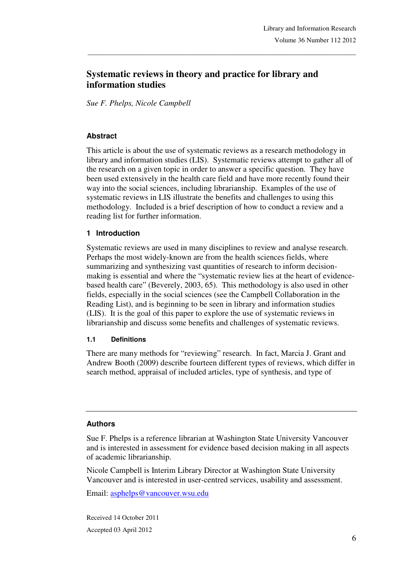# **Systematic reviews in theory and practice for library and information studies**

\_\_\_\_\_\_\_\_\_\_\_\_\_\_\_\_\_\_\_\_\_\_\_\_\_\_\_\_\_\_\_\_\_\_\_\_\_\_\_\_\_\_\_\_\_\_\_\_\_\_\_\_\_\_\_\_\_\_\_\_\_\_\_\_\_\_\_\_\_\_\_\_\_\_\_\_\_\_\_

*Sue F. Phelps, Nicole Campbell* 

#### **Abstract**

This article is about the use of systematic reviews as a research methodology in library and information studies (LIS). Systematic reviews attempt to gather all of the research on a given topic in order to answer a specific question. They have been used extensively in the health care field and have more recently found their way into the social sciences, including librarianship. Examples of the use of systematic reviews in LIS illustrate the benefits and challenges to using this methodology. Included is a brief description of how to conduct a review and a reading list for further information.

#### **1 Introduction**

Systematic reviews are used in many disciplines to review and analyse research. Perhaps the most widely-known are from the health sciences fields, where summarizing and synthesizing vast quantities of research to inform decisionmaking is essential and where the "systematic review lies at the heart of evidencebased health care" (Beverely, 2003, 65). This methodology is also used in other fields, especially in the social sciences (see the Campbell Collaboration in the Reading List), and is beginning to be seen in library and information studies (LIS). It is the goal of this paper to explore the use of systematic reviews in librarianship and discuss some benefits and challenges of systematic reviews.

#### **1.1 Definitions**

There are many methods for "reviewing" research. In fact, Marcia J. Grant and Andrew Booth (2009) describe fourteen different types of reviews, which differ in search method, appraisal of included articles, type of synthesis, and type of

#### **Authors**

Sue F. Phelps is a reference librarian at Washington State University Vancouver and is interested in assessment for evidence based decision making in all aspects of academic librarianship.

Nicole Campbell is Interim Library Director at Washington State University Vancouver and is interested in user-centred services, usability and assessment.

Email: asphelps@vancouver.wsu.edu

Received 14 October 2011 Accepted 03 April 2012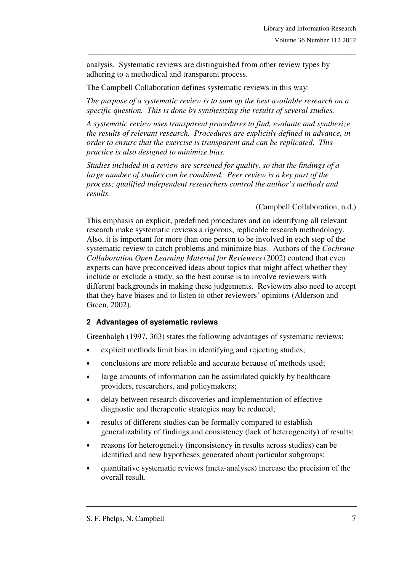analysis. Systematic reviews are distinguished from other review types by adhering to a methodical and transparent process.

The Campbell Collaboration defines systematic reviews in this way:

*The purpose of a systematic review is to sum up the best available research on a specific question. This is done by synthesizing the results of several studies.* 

\_\_\_\_\_\_\_\_\_\_\_\_\_\_\_\_\_\_\_\_\_\_\_\_\_\_\_\_\_\_\_\_\_\_\_\_\_\_\_\_\_\_\_\_\_\_\_\_\_\_\_\_\_\_\_\_\_\_\_\_\_\_\_\_\_\_\_\_\_\_\_\_\_\_\_\_\_\_\_

*A systematic review uses transparent procedures to find, evaluate and synthesize the results of relevant research. Procedures are explicitly defined in advance, in order to ensure that the exercise is transparent and can be replicated. This practice is also designed to minimize bias.* 

*Studies included in a review are screened for quality, so that the findings of a large number of studies can be combined. Peer review is a key part of the process; qualified independent researchers control the author's methods and results.* 

(Campbell Collaboration, n.d.)

This emphasis on explicit, predefined procedures and on identifying all relevant research make systematic reviews a rigorous, replicable research methodology. Also, it is important for more than one person to be involved in each step of the systematic review to catch problems and minimize bias. Authors of the *Cochrane Collaboration Open Learning Material for Reviewers* (2002) contend that even experts can have preconceived ideas about topics that might affect whether they include or exclude a study, so the best course is to involve reviewers with different backgrounds in making these judgements. Reviewers also need to accept that they have biases and to listen to other reviewers' opinions (Alderson and Green, 2002).

# **2 Advantages of systematic reviews**

Greenhalgh (1997, 363) states the following advantages of systematic reviews:

- explicit methods limit bias in identifying and rejecting studies;
- conclusions are more reliable and accurate because of methods used:
- large amounts of information can be assimilated quickly by healthcare providers, researchers, and policymakers;
- delay between research discoveries and implementation of effective diagnostic and therapeutic strategies may be reduced;
- results of different studies can be formally compared to establish generalizability of findings and consistency (lack of heterogeneity) of results;
- reasons for heterogeneity (inconsistency in results across studies) can be identified and new hypotheses generated about particular subgroups;
- quantitative systematic reviews (meta-analyses) increase the precision of the overall result.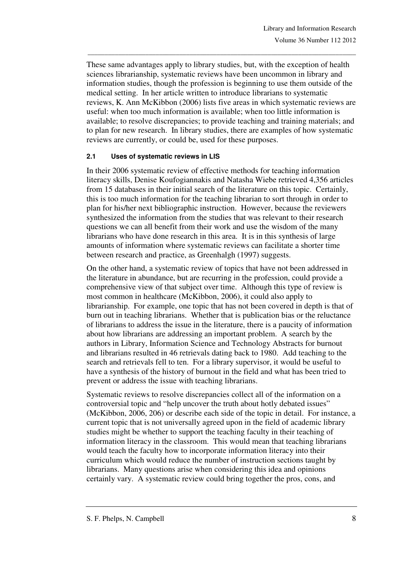These same advantages apply to library studies, but, with the exception of health sciences librarianship, systematic reviews have been uncommon in library and information studies, though the profession is beginning to use them outside of the medical setting. In her article written to introduce librarians to systematic reviews, K. Ann McKibbon (2006) lists five areas in which systematic reviews are useful: when too much information is available; when too little information is available; to resolve discrepancies; to provide teaching and training materials; and to plan for new research. In library studies, there are examples of how systematic reviews are currently, or could be, used for these purposes.

\_\_\_\_\_\_\_\_\_\_\_\_\_\_\_\_\_\_\_\_\_\_\_\_\_\_\_\_\_\_\_\_\_\_\_\_\_\_\_\_\_\_\_\_\_\_\_\_\_\_\_\_\_\_\_\_\_\_\_\_\_\_\_\_\_\_\_\_\_\_\_\_\_\_\_\_\_\_\_

#### **2.1 Uses of systematic reviews in LIS**

In their 2006 systematic review of effective methods for teaching information literacy skills, Denise Koufogiannakis and Natasha Wiebe retrieved 4,356 articles from 15 databases in their initial search of the literature on this topic. Certainly, this is too much information for the teaching librarian to sort through in order to plan for his/her next bibliographic instruction. However, because the reviewers synthesized the information from the studies that was relevant to their research questions we can all benefit from their work and use the wisdom of the many librarians who have done research in this area. It is in this synthesis of large amounts of information where systematic reviews can facilitate a shorter time between research and practice, as Greenhalgh (1997) suggests.

On the other hand, a systematic review of topics that have not been addressed in the literature in abundance, but are recurring in the profession, could provide a comprehensive view of that subject over time. Although this type of review is most common in healthcare (McKibbon, 2006), it could also apply to librarianship. For example, one topic that has not been covered in depth is that of burn out in teaching librarians. Whether that is publication bias or the reluctance of librarians to address the issue in the literature, there is a paucity of information about how librarians are addressing an important problem. A search by the authors in Library, Information Science and Technology Abstracts for burnout and librarians resulted in 46 retrievals dating back to 1980. Add teaching to the search and retrievals fell to ten. For a library supervisor, it would be useful to have a synthesis of the history of burnout in the field and what has been tried to prevent or address the issue with teaching librarians.

Systematic reviews to resolve discrepancies collect all of the information on a controversial topic and "help uncover the truth about hotly debated issues" (McKibbon, 2006, 206) or describe each side of the topic in detail. For instance, a current topic that is not universally agreed upon in the field of academic library studies might be whether to support the teaching faculty in their teaching of information literacy in the classroom. This would mean that teaching librarians would teach the faculty how to incorporate information literacy into their curriculum which would reduce the number of instruction sections taught by librarians. Many questions arise when considering this idea and opinions certainly vary. A systematic review could bring together the pros, cons, and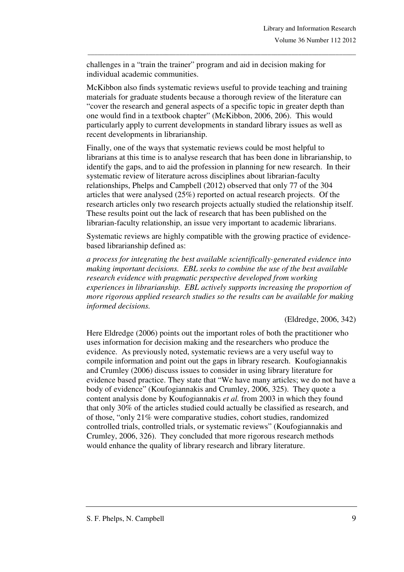challenges in a "train the trainer" program and aid in decision making for individual academic communities.

McKibbon also finds systematic reviews useful to provide teaching and training materials for graduate students because a thorough review of the literature can "cover the research and general aspects of a specific topic in greater depth than one would find in a textbook chapter" (McKibbon, 2006, 206). This would particularly apply to current developments in standard library issues as well as recent developments in librarianship.

\_\_\_\_\_\_\_\_\_\_\_\_\_\_\_\_\_\_\_\_\_\_\_\_\_\_\_\_\_\_\_\_\_\_\_\_\_\_\_\_\_\_\_\_\_\_\_\_\_\_\_\_\_\_\_\_\_\_\_\_\_\_\_\_\_\_\_\_\_\_\_\_\_\_\_\_\_\_\_

Finally, one of the ways that systematic reviews could be most helpful to librarians at this time is to analyse research that has been done in librarianship, to identify the gaps, and to aid the profession in planning for new research. In their systematic review of literature across disciplines about librarian-faculty relationships, Phelps and Campbell (2012) observed that only 77 of the 304 articles that were analysed (25%) reported on actual research projects. Of the research articles only two research projects actually studied the relationship itself. These results point out the lack of research that has been published on the librarian-faculty relationship, an issue very important to academic librarians.

Systematic reviews are highly compatible with the growing practice of evidencebased librarianship defined as:

*a process for integrating the best available scientifically-generated evidence into making important decisions. EBL seeks to combine the use of the best available research evidence with pragmatic perspective developed from working experiences in librarianship. EBL actively supports increasing the proportion of more rigorous applied research studies so the results can be available for making informed decisions.*

(Eldredge, 2006, 342)

Here Eldredge (2006) points out the important roles of both the practitioner who uses information for decision making and the researchers who produce the evidence. As previously noted, systematic reviews are a very useful way to compile information and point out the gaps in library research. Koufogiannakis and Crumley (2006) discuss issues to consider in using library literature for evidence based practice. They state that "We have many articles; we do not have a body of evidence" (Koufogiannakis and Crumley, 2006, 325). They quote a content analysis done by Koufogiannakis *et al.* from 2003 in which they found that only 30% of the articles studied could actually be classified as research, and of those, "only 21% were comparative studies, cohort studies, randomized controlled trials, controlled trials, or systematic reviews" (Koufogiannakis and Crumley, 2006, 326). They concluded that more rigorous research methods would enhance the quality of library research and library literature.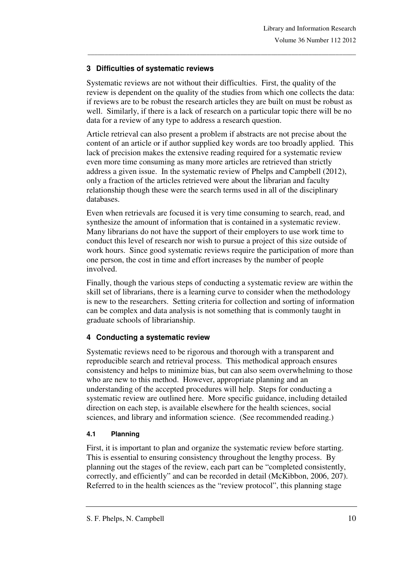### **3 Difficulties of systematic reviews**

Systematic reviews are not without their difficulties. First, the quality of the review is dependent on the quality of the studies from which one collects the data: if reviews are to be robust the research articles they are built on must be robust as well. Similarly, if there is a lack of research on a particular topic there will be no data for a review of any type to address a research question.

\_\_\_\_\_\_\_\_\_\_\_\_\_\_\_\_\_\_\_\_\_\_\_\_\_\_\_\_\_\_\_\_\_\_\_\_\_\_\_\_\_\_\_\_\_\_\_\_\_\_\_\_\_\_\_\_\_\_\_\_\_\_\_\_\_\_\_\_\_\_\_\_\_\_\_\_\_\_\_

Article retrieval can also present a problem if abstracts are not precise about the content of an article or if author supplied key words are too broadly applied. This lack of precision makes the extensive reading required for a systematic review even more time consuming as many more articles are retrieved than strictly address a given issue. In the systematic review of Phelps and Campbell (2012), only a fraction of the articles retrieved were about the librarian and faculty relationship though these were the search terms used in all of the disciplinary databases.

Even when retrievals are focused it is very time consuming to search, read, and synthesize the amount of information that is contained in a systematic review. Many librarians do not have the support of their employers to use work time to conduct this level of research nor wish to pursue a project of this size outside of work hours. Since good systematic reviews require the participation of more than one person, the cost in time and effort increases by the number of people involved.

Finally, though the various steps of conducting a systematic review are within the skill set of librarians, there is a learning curve to consider when the methodology is new to the researchers. Setting criteria for collection and sorting of information can be complex and data analysis is not something that is commonly taught in graduate schools of librarianship.

# **4 Conducting a systematic review**

Systematic reviews need to be rigorous and thorough with a transparent and reproducible search and retrieval process. This methodical approach ensures consistency and helps to minimize bias, but can also seem overwhelming to those who are new to this method. However, appropriate planning and an understanding of the accepted procedures will help. Steps for conducting a systematic review are outlined here. More specific guidance, including detailed direction on each step, is available elsewhere for the health sciences, social sciences, and library and information science. (See recommended reading.)

# **4.1 Planning**

First, it is important to plan and organize the systematic review before starting. This is essential to ensuring consistency throughout the lengthy process. By planning out the stages of the review, each part can be "completed consistently, correctly, and efficiently" and can be recorded in detail (McKibbon, 2006, 207). Referred to in the health sciences as the "review protocol", this planning stage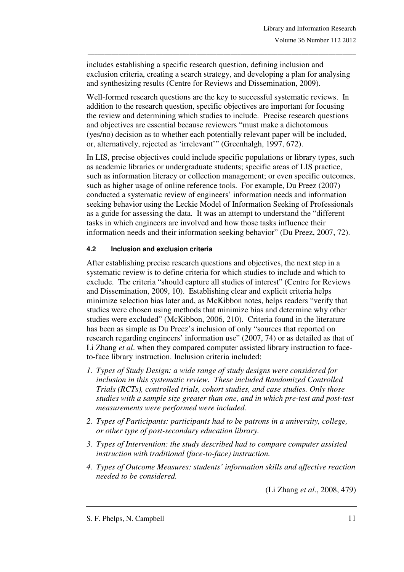includes establishing a specific research question, defining inclusion and exclusion criteria, creating a search strategy, and developing a plan for analysing and synthesizing results (Centre for Reviews and Dissemination, 2009).

\_\_\_\_\_\_\_\_\_\_\_\_\_\_\_\_\_\_\_\_\_\_\_\_\_\_\_\_\_\_\_\_\_\_\_\_\_\_\_\_\_\_\_\_\_\_\_\_\_\_\_\_\_\_\_\_\_\_\_\_\_\_\_\_\_\_\_\_\_\_\_\_\_\_\_\_\_\_\_

Well-formed research questions are the key to successful systematic reviews. In addition to the research question, specific objectives are important for focusing the review and determining which studies to include. Precise research questions and objectives are essential because reviewers "must make a dichotomous (yes/no) decision as to whether each potentially relevant paper will be included, or, alternatively, rejected as 'irrelevant'" (Greenhalgh, 1997, 672).

In LIS, precise objectives could include specific populations or library types, such as academic libraries or undergraduate students; specific areas of LIS practice, such as information literacy or collection management; or even specific outcomes, such as higher usage of online reference tools. For example, Du Preez (2007) conducted a systematic review of engineers' information needs and information seeking behavior using the Leckie Model of Information Seeking of Professionals as a guide for assessing the data. It was an attempt to understand the "different tasks in which engineers are involved and how those tasks influence their information needs and their information seeking behavior" (Du Preez, 2007, 72).

#### **4.2 Inclusion and exclusion criteria**

After establishing precise research questions and objectives, the next step in a systematic review is to define criteria for which studies to include and which to exclude. The criteria "should capture all studies of interest" (Centre for Reviews and Dissemination, 2009, 10). Establishing clear and explicit criteria helps minimize selection bias later and, as McKibbon notes, helps readers "verify that studies were chosen using methods that minimize bias and determine why other studies were excluded" (McKibbon, 2006, 210). Criteria found in the literature has been as simple as Du Preez's inclusion of only "sources that reported on research regarding engineers' information use" (2007, 74) or as detailed as that of Li Zhang *et al*. when they compared computer assisted library instruction to faceto-face library instruction. Inclusion criteria included:

- *1. Types of Study Design: a wide range of study designs were considered for inclusion in this systematic review. These included Randomized Controlled Trials (RCTs), controlled trials, cohort studies, and case studies. Only those studies with a sample size greater than one, and in which pre-test and post-test measurements were performed were included.*
- *2. Types of Participants: participants had to be patrons in a university, college, or other type of post-secondary education library.*
- *3. Types of Intervention: the study described had to compare computer assisted instruction with traditional (face-to-face) instruction.*
- *4. Types of Outcome Measures: students' information skills and affective reaction needed to be considered.*

(Li Zhang *et al*., 2008, 479)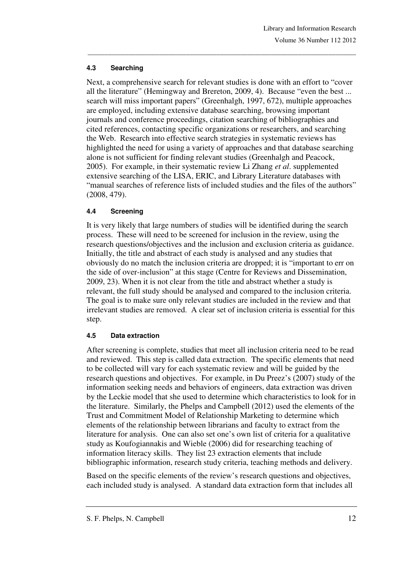### **4.3 Searching**

Next, a comprehensive search for relevant studies is done with an effort to "cover all the literature" (Hemingway and Brereton, 2009, 4). Because "even the best ... search will miss important papers" (Greenhalgh, 1997, 672), multiple approaches are employed, including extensive database searching, browsing important journals and conference proceedings, citation searching of bibliographies and cited references, contacting specific organizations or researchers, and searching the Web. Research into effective search strategies in systematic reviews has highlighted the need for using a variety of approaches and that database searching alone is not sufficient for finding relevant studies (Greenhalgh and Peacock, 2005). For example, in their systematic review Li Zhang *et al*. supplemented extensive searching of the LISA, ERIC, and Library Literature databases with "manual searches of reference lists of included studies and the files of the authors" (2008, 479).

\_\_\_\_\_\_\_\_\_\_\_\_\_\_\_\_\_\_\_\_\_\_\_\_\_\_\_\_\_\_\_\_\_\_\_\_\_\_\_\_\_\_\_\_\_\_\_\_\_\_\_\_\_\_\_\_\_\_\_\_\_\_\_\_\_\_\_\_\_\_\_\_\_\_\_\_\_\_\_

### **4.4 Screening**

It is very likely that large numbers of studies will be identified during the search process. These will need to be screened for inclusion in the review, using the research questions/objectives and the inclusion and exclusion criteria as guidance. Initially, the title and abstract of each study is analysed and any studies that obviously do no match the inclusion criteria are dropped; it is "important to err on the side of over-inclusion" at this stage (Centre for Reviews and Dissemination, 2009, 23). When it is not clear from the title and abstract whether a study is relevant, the full study should be analysed and compared to the inclusion criteria. The goal is to make sure only relevant studies are included in the review and that irrelevant studies are removed. A clear set of inclusion criteria is essential for this step.

# **4.5 Data extraction**

After screening is complete, studies that meet all inclusion criteria need to be read and reviewed. This step is called data extraction. The specific elements that need to be collected will vary for each systematic review and will be guided by the research questions and objectives. For example, in Du Preez's (2007) study of the information seeking needs and behaviors of engineers, data extraction was driven by the Leckie model that she used to determine which characteristics to look for in the literature. Similarly, the Phelps and Campbell (2012) used the elements of the Trust and Commitment Model of Relationship Marketing to determine which elements of the relationship between librarians and faculty to extract from the literature for analysis. One can also set one's own list of criteria for a qualitative study as Koufogiannakis and Wieble (2006) did for researching teaching of information literacy skills. They list 23 extraction elements that include bibliographic information, research study criteria, teaching methods and delivery.

Based on the specific elements of the review's research questions and objectives, each included study is analysed. A standard data extraction form that includes all

S. F. Phelps, N. Campbell 12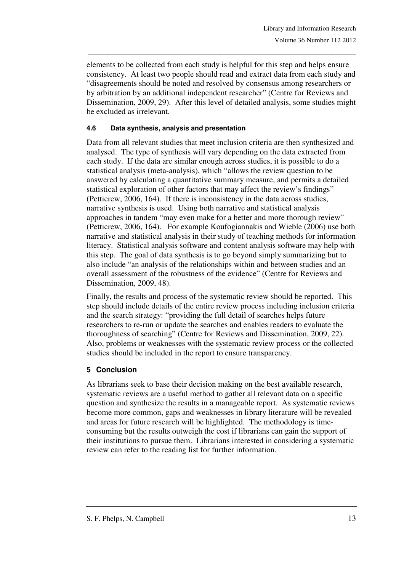elements to be collected from each study is helpful for this step and helps ensure consistency. At least two people should read and extract data from each study and "disagreements should be noted and resolved by consensus among researchers or by arbitration by an additional independent researcher" (Centre for Reviews and Dissemination, 2009, 29). After this level of detailed analysis, some studies might be excluded as irrelevant.

\_\_\_\_\_\_\_\_\_\_\_\_\_\_\_\_\_\_\_\_\_\_\_\_\_\_\_\_\_\_\_\_\_\_\_\_\_\_\_\_\_\_\_\_\_\_\_\_\_\_\_\_\_\_\_\_\_\_\_\_\_\_\_\_\_\_\_\_\_\_\_\_\_\_\_\_\_\_\_

### **4.6 Data synthesis, analysis and presentation**

Data from all relevant studies that meet inclusion criteria are then synthesized and analysed. The type of synthesis will vary depending on the data extracted from each study. If the data are similar enough across studies, it is possible to do a statistical analysis (meta-analysis), which "allows the review question to be answered by calculating a quantitative summary measure, and permits a detailed statistical exploration of other factors that may affect the review's findings" (Petticrew, 2006, 164). If there is inconsistency in the data across studies, narrative synthesis is used. Using both narrative and statistical analysis approaches in tandem "may even make for a better and more thorough review" (Petticrew, 2006, 164). For example Koufogiannakis and Wieble (2006) use both narrative and statistical analysis in their study of teaching methods for information literacy. Statistical analysis software and content analysis software may help with this step. The goal of data synthesis is to go beyond simply summarizing but to also include "an analysis of the relationships within and between studies and an overall assessment of the robustness of the evidence" (Centre for Reviews and Dissemination, 2009, 48).

Finally, the results and process of the systematic review should be reported. This step should include details of the entire review process including inclusion criteria and the search strategy: "providing the full detail of searches helps future researchers to re-run or update the searches and enables readers to evaluate the thoroughness of searching" (Centre for Reviews and Dissemination, 2009, 22). Also, problems or weaknesses with the systematic review process or the collected studies should be included in the report to ensure transparency.

# **5 Conclusion**

As librarians seek to base their decision making on the best available research, systematic reviews are a useful method to gather all relevant data on a specific question and synthesize the results in a manageable report. As systematic reviews become more common, gaps and weaknesses in library literature will be revealed and areas for future research will be highlighted. The methodology is timeconsuming but the results outweigh the cost if librarians can gain the support of their institutions to pursue them. Librarians interested in considering a systematic review can refer to the reading list for further information.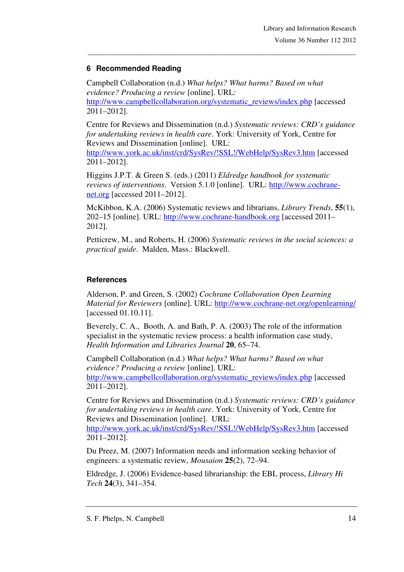# **6 Recommended Reading**

Campbell Collaboration (n.d.) *What helps? What harms? Based on what evidence? Producing a review* [online]. URL: http://www.campbellcollaboration.org/systematic\_reviews/index.php [accessed 2011–2012].

\_\_\_\_\_\_\_\_\_\_\_\_\_\_\_\_\_\_\_\_\_\_\_\_\_\_\_\_\_\_\_\_\_\_\_\_\_\_\_\_\_\_\_\_\_\_\_\_\_\_\_\_\_\_\_\_\_\_\_\_\_\_\_\_\_\_\_\_\_\_\_\_\_\_\_\_\_\_\_

Centre for Reviews and Dissemination (n.d.) *Systematic reviews: CRD's guidance for undertaking reviews in health care*. York: University of York, Centre for Reviews and Dissemination [online]. URL: http://www.york.ac.uk/inst/crd/SysRev/!SSL!/WebHelp/SysRev3.htm [accessed 2011–2012].

Higgins J.P.T. & Green S. (eds.) (2011) *Eldredge handbook for systematic reviews of interventions*. Version 5.1.0 [online]. URL: http://www.cochranenet.org [accessed 2011–2012].

McKibbon, K.A. (2006) Systematic reviews and librarians, *Library Trends*, **55**(1), 202–15 [online]. URL: http://www.cochrane-handbook.org [accessed 2011– 2012].

Petticrew, M., and Roberts, H. (2006) *Systematic reviews in the social sciences: a practical guide*. Malden, Mass.: Blackwell.

### **References**

Alderson, P. and Green, S. (2002) *Cochrane Collaboration Open Learning Material for Reviewers* [online]. URL: http://www.cochrane-net.org/openlearning/ [accessed 01.10.11].

Beverely, C. A., Booth, A. and Bath, P. A. (2003) The role of the information specialist in the systematic review process: a health information case study, *Health Information and Libraries Journal* **20**, 65–74.

Campbell Collaboration (n.d.) *What helps? What harms? Based on what evidence? Producing a review* [online]. URL: http://www.campbellcollaboration.org/systematic\_reviews/index.php [accessed 2011–2012].

Centre for Reviews and Dissemination (n.d.) *Systematic reviews: CRD's guidance for undertaking reviews in health care*. York: University of York, Centre for Reviews and Dissemination [online]. URL:

http://www.york.ac.uk/inst/crd/SysRev/!SSL!/WebHelp/SysRev3.htm [accessed 2011–2012].

Du Preez, M. (2007) Information needs and information seeking behavior of engineers: a systematic review, *Mousaion* **25**(2), 72–94.

Eldredge, J. (2006) Evidence-based librarianship: the EBL process, *Library Hi Tech* **24**(3), 341–354.